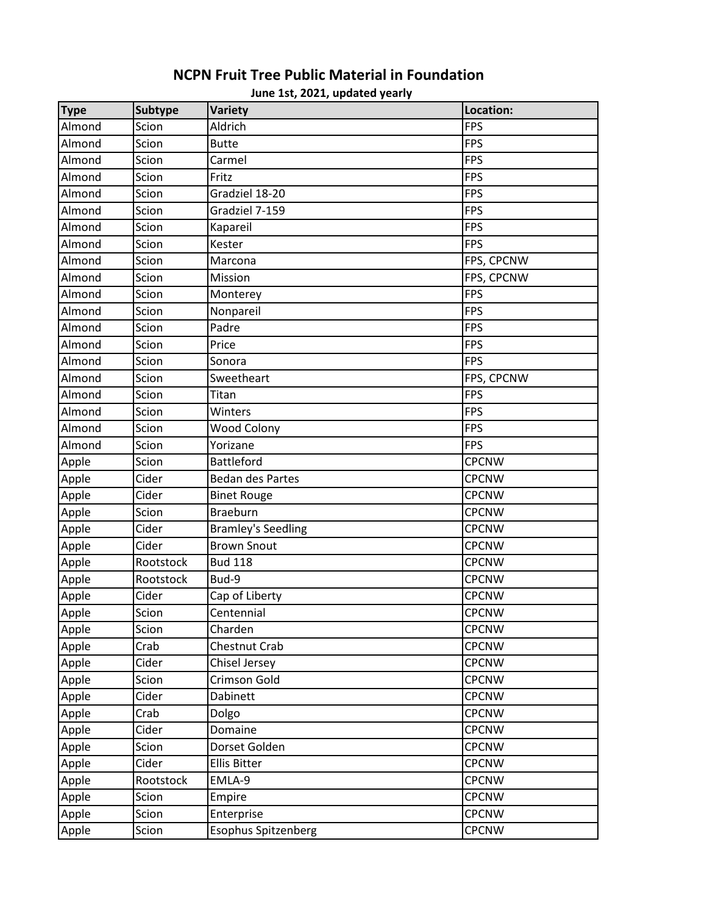## **Type Subtype Variety Location:** Almond Scion Aldrich FPS Almond Scion Butte FPS Almond Scion Carmel **Carmel** Carmel Carmel FPS Almond Scion Fritz FPS Almond Scion Gradziel 18-20 FPS Almond Scion Gradziel 7-159 FPS Almond Scion Kapareil FPS Almond Scion Kester FPS Almond Scion Marcona FPS, CPCNW Almond Scion Mission Physics (Research Mission Pers, CPCNW Almond Scion Monterey **FPS** Almond Scion | Nonpareil FPS Almond Scion Padre FPS Almond Scion Price **FPS** Almond Scion Sonora FPS Almond Scion Sweetheart FPS, CPCNW Almond Scion Titan FPS Almond Scion Winters **FPS** Almond Scion Wood Colony **FPS** Almond Scion Yorizane FPS Apple Scion Battleford CPCNW Apple Cider Bedan des Partes CPCNW Apple Cider Binet Rouge CPCNW Apple Scion Braeburn CPCNW Apple Cider Bramley's Seedling CPCNW Apple | Cider | Brown Snout | CPCNW Apple Rootstock Bud 118 CPCNW Apple Rootstock Bud-9 CPCNW Apple Cider Cap of Liberty Cap of Liberty CPCNW Apple Scion Centennial Content Content Content CPCNW Apple Scion Charden Charden Charden Control (CPCNW Apple Crab Chestnut Crab CPCNW Apple Cider Chisel Jersey Channel CPCNW Apple Scion Crimson Gold Crown CPCNW Apple | Cider | Dabinett | CPCNW Apple |Crab |Dolgo | CPCNW Apple | Cider | Domaine | CPCNW Apple Scion Dorset Golden CPCNW Apple | Cider | Ellis Bitter Contains | CPCNW Apple Rootstock EMLA-9 CPCNW Apple Scion Empire CPCNW Apple Scion Enterprise CPCNW Apple Scion Esophus Spitzenberg CPCNW

## **June 1st, 2021, updated yearly NCPN Fruit Tree Public Material in Foundation**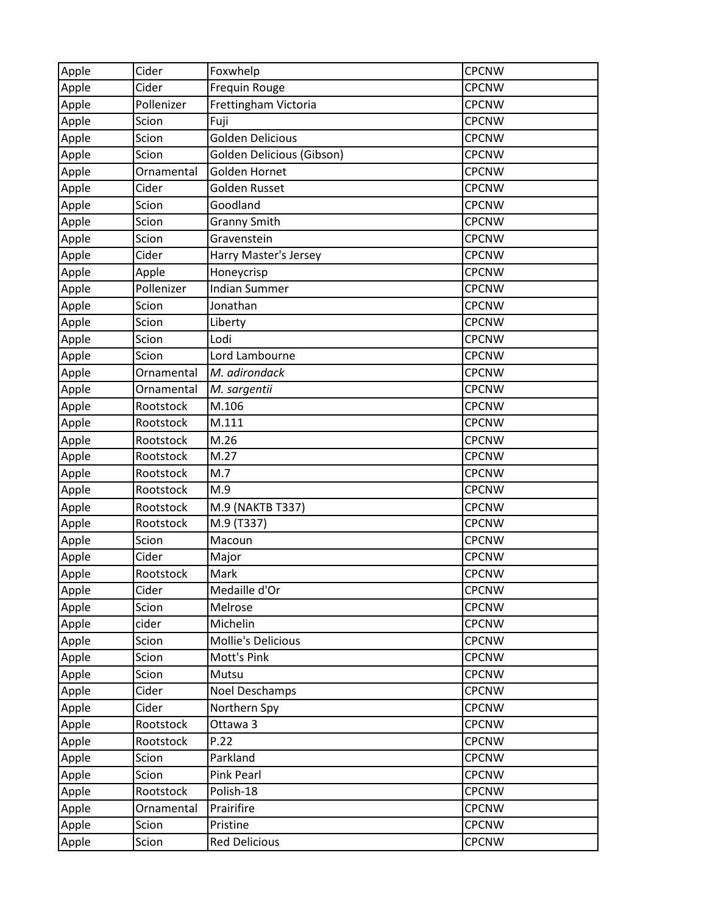| Apple | Cider      | Foxwhelp                  | <b>CPCNW</b> |
|-------|------------|---------------------------|--------------|
| Apple | Cider      | Frequin Rouge             | <b>CPCNW</b> |
| Apple | Pollenizer | Frettingham Victoria      | <b>CPCNW</b> |
| Apple | Scion      | Fuji                      | <b>CPCNW</b> |
| Apple | Scion      | <b>Golden Delicious</b>   | <b>CPCNW</b> |
| Apple | Scion      | Golden Delicious (Gibson) | <b>CPCNW</b> |
| Apple | Ornamental | Golden Hornet             | <b>CPCNW</b> |
| Apple | Cider      | Golden Russet             | <b>CPCNW</b> |
| Apple | Scion      | Goodland                  | <b>CPCNW</b> |
| Apple | Scion      | <b>Granny Smith</b>       | <b>CPCNW</b> |
| Apple | Scion      | Gravenstein               | <b>CPCNW</b> |
| Apple | Cider      | Harry Master's Jersey     | <b>CPCNW</b> |
| Apple | Apple      | Honeycrisp                | <b>CPCNW</b> |
| Apple | Pollenizer | <b>Indian Summer</b>      | <b>CPCNW</b> |
| Apple | Scion      | Jonathan                  | <b>CPCNW</b> |
| Apple | Scion      | Liberty                   | <b>CPCNW</b> |
| Apple | Scion      | Lodi                      | <b>CPCNW</b> |
| Apple | Scion      | Lord Lambourne            | <b>CPCNW</b> |
| Apple | Ornamental | M. adirondack             | <b>CPCNW</b> |
| Apple | Ornamental | M. sargentii              | <b>CPCNW</b> |
| Apple | Rootstock  | M.106                     | <b>CPCNW</b> |
| Apple | Rootstock  | M.111                     | <b>CPCNW</b> |
| Apple | Rootstock  | M.26                      | <b>CPCNW</b> |
| Apple | Rootstock  | M.27                      | <b>CPCNW</b> |
| Apple | Rootstock  | M.7                       | <b>CPCNW</b> |
| Apple | Rootstock  | M.9                       | <b>CPCNW</b> |
| Apple | Rootstock  | M.9 (NAKTB T337)          | <b>CPCNW</b> |
| Apple | Rootstock  | M.9 (T337)                | <b>CPCNW</b> |
| Apple | Scion      | Macoun                    | <b>CPCNW</b> |
| Apple | Cider      | Major                     | <b>CPCNW</b> |
| Apple | Rootstock  | Mark                      | <b>CPCNW</b> |
| Apple | Cider      | Medaille d'Or             | <b>CPCNW</b> |
| Apple | Scion      | Melrose                   | <b>CPCNW</b> |
| Apple | cider      | Michelin                  | <b>CPCNW</b> |
| Apple | Scion      | <b>Mollie's Delicious</b> | <b>CPCNW</b> |
| Apple | Scion      | Mott's Pink               | <b>CPCNW</b> |
| Apple | Scion      | Mutsu                     | <b>CPCNW</b> |
| Apple | Cider      | Noel Deschamps            | <b>CPCNW</b> |
| Apple | Cider      | Northern Spy              | <b>CPCNW</b> |
| Apple | Rootstock  | Ottawa 3                  | <b>CPCNW</b> |
| Apple | Rootstock  | P.22                      | <b>CPCNW</b> |
| Apple | Scion      | Parkland                  | <b>CPCNW</b> |
| Apple | Scion      | <b>Pink Pearl</b>         | <b>CPCNW</b> |
| Apple | Rootstock  | Polish-18                 | <b>CPCNW</b> |
| Apple | Ornamental | Prairifire                | <b>CPCNW</b> |
| Apple | Scion      | Pristine                  | <b>CPCNW</b> |
| Apple | Scion      | <b>Red Delicious</b>      | <b>CPCNW</b> |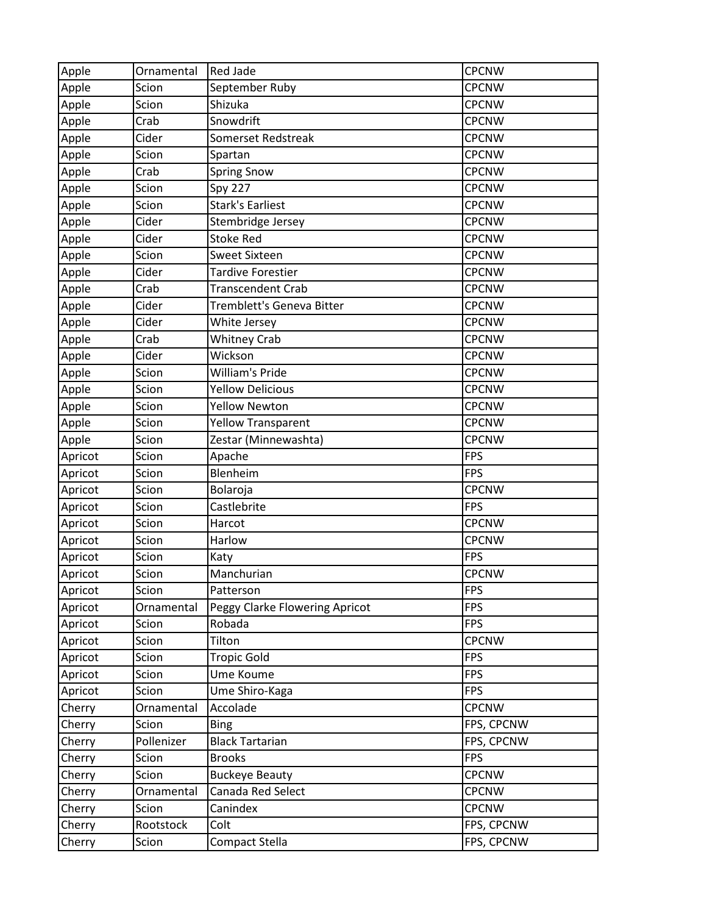| Apple   | Ornamental | <b>Red Jade</b>                | <b>CPCNW</b> |
|---------|------------|--------------------------------|--------------|
| Apple   | Scion      | September Ruby                 | <b>CPCNW</b> |
| Apple   | Scion      | Shizuka                        | <b>CPCNW</b> |
| Apple   | Crab       | Snowdrift                      | <b>CPCNW</b> |
| Apple   | Cider      | Somerset Redstreak             | <b>CPCNW</b> |
| Apple   | Scion      | Spartan                        | <b>CPCNW</b> |
| Apple   | Crab       | <b>Spring Snow</b>             | <b>CPCNW</b> |
| Apple   | Scion      | <b>Spy 227</b>                 | <b>CPCNW</b> |
| Apple   | Scion      | <b>Stark's Earliest</b>        | <b>CPCNW</b> |
| Apple   | Cider      | Stembridge Jersey              | <b>CPCNW</b> |
| Apple   | Cider      | <b>Stoke Red</b>               | <b>CPCNW</b> |
| Apple   | Scion      | <b>Sweet Sixteen</b>           | <b>CPCNW</b> |
| Apple   | Cider      | Tardive Forestier              | <b>CPCNW</b> |
| Apple   | Crab       | Transcendent Crab              | <b>CPCNW</b> |
| Apple   | Cider      | Tremblett's Geneva Bitter      | <b>CPCNW</b> |
| Apple   | Cider      | White Jersey                   | <b>CPCNW</b> |
| Apple   | Crab       | <b>Whitney Crab</b>            | <b>CPCNW</b> |
| Apple   | Cider      | Wickson                        | <b>CPCNW</b> |
| Apple   | Scion      | <b>William's Pride</b>         | <b>CPCNW</b> |
| Apple   | Scion      | <b>Yellow Delicious</b>        | <b>CPCNW</b> |
| Apple   | Scion      | <b>Yellow Newton</b>           | <b>CPCNW</b> |
| Apple   | Scion      | <b>Yellow Transparent</b>      | <b>CPCNW</b> |
| Apple   | Scion      | Zestar (Minnewashta)           | <b>CPCNW</b> |
| Apricot | Scion      | Apache                         | FPS          |
| Apricot | Scion      | Blenheim                       | <b>FPS</b>   |
| Apricot | Scion      | Bolaroja                       | <b>CPCNW</b> |
| Apricot | Scion      | Castlebrite                    | <b>FPS</b>   |
| Apricot | Scion      | Harcot                         | <b>CPCNW</b> |
| Apricot | Scion      | Harlow                         | <b>CPCNW</b> |
| Apricot | Scion      | Katy                           | <b>FPS</b>   |
| Apricot | Scion      | Manchurian                     | <b>CPCNW</b> |
| Apricot | Scion      | Patterson                      | <b>FPS</b>   |
| Apricot | Ornamental | Peggy Clarke Flowering Apricot | <b>FPS</b>   |
| Apricot | Scion      | Robada                         | <b>FPS</b>   |
| Apricot | Scion      | Tilton                         | <b>CPCNW</b> |
| Apricot | Scion      | <b>Tropic Gold</b>             | <b>FPS</b>   |
| Apricot | Scion      | Ume Koume                      | <b>FPS</b>   |
| Apricot | Scion      | Ume Shiro-Kaga                 | <b>FPS</b>   |
| Cherry  | Ornamental | Accolade                       | <b>CPCNW</b> |
| Cherry  | Scion      | <b>Bing</b>                    | FPS, CPCNW   |
| Cherry  | Pollenizer | <b>Black Tartarian</b>         | FPS, CPCNW   |
| Cherry  | Scion      | <b>Brooks</b>                  | <b>FPS</b>   |
| Cherry  | Scion      | <b>Buckeye Beauty</b>          | <b>CPCNW</b> |
| Cherry  | Ornamental | Canada Red Select              | <b>CPCNW</b> |
| Cherry  | Scion      | Canindex                       | <b>CPCNW</b> |
| Cherry  | Rootstock  | Colt                           | FPS, CPCNW   |
| Cherry  | Scion      | Compact Stella                 | FPS, CPCNW   |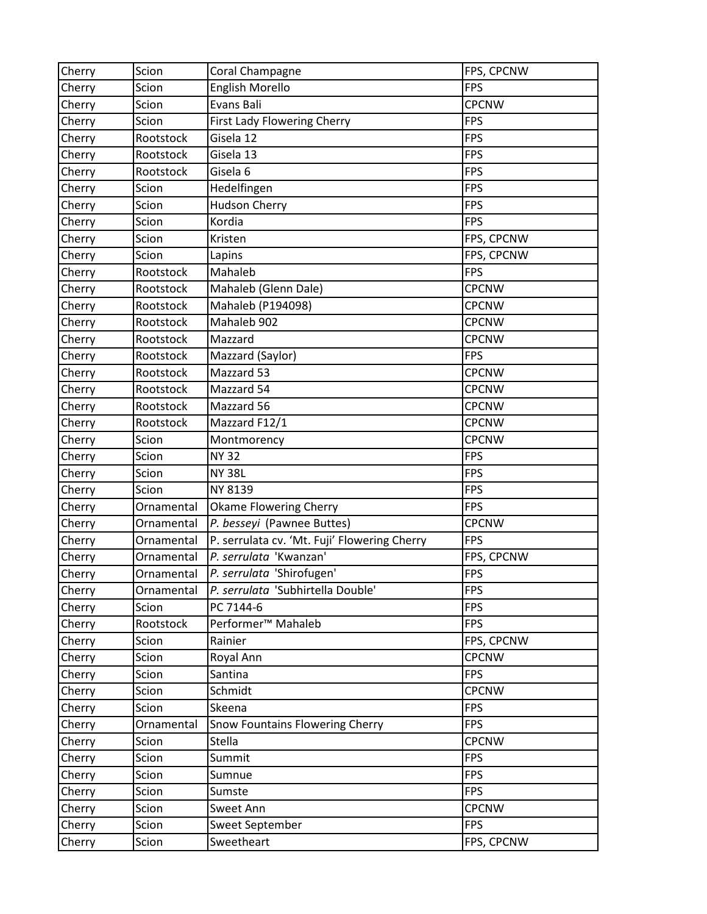| Cherry | Scion      | Coral Champagne                              | FPS, CPCNW   |
|--------|------------|----------------------------------------------|--------------|
| Cherry | Scion      | <b>English Morello</b>                       | <b>FPS</b>   |
| Cherry | Scion      | Evans Bali                                   | <b>CPCNW</b> |
| Cherry | Scion      | First Lady Flowering Cherry                  | <b>FPS</b>   |
| Cherry | Rootstock  | Gisela 12                                    | <b>FPS</b>   |
| Cherry | Rootstock  | Gisela 13                                    | <b>FPS</b>   |
| Cherry | Rootstock  | Gisela 6                                     | <b>FPS</b>   |
| Cherry | Scion      | Hedelfingen                                  | <b>FPS</b>   |
| Cherry | Scion      | <b>Hudson Cherry</b>                         | <b>FPS</b>   |
| Cherry | Scion      | Kordia                                       | <b>FPS</b>   |
| Cherry | Scion      | Kristen                                      | FPS, CPCNW   |
| Cherry | Scion      | Lapins                                       | FPS, CPCNW   |
| Cherry | Rootstock  | Mahaleb                                      | <b>FPS</b>   |
| Cherry | Rootstock  | Mahaleb (Glenn Dale)                         | <b>CPCNW</b> |
| Cherry | Rootstock  | Mahaleb (P194098)                            | <b>CPCNW</b> |
| Cherry | Rootstock  | Mahaleb 902                                  | <b>CPCNW</b> |
| Cherry | Rootstock  | Mazzard                                      | <b>CPCNW</b> |
| Cherry | Rootstock  | Mazzard (Saylor)                             | <b>FPS</b>   |
| Cherry | Rootstock  | Mazzard 53                                   | <b>CPCNW</b> |
| Cherry | Rootstock  | Mazzard 54                                   | <b>CPCNW</b> |
| Cherry | Rootstock  | Mazzard 56                                   | <b>CPCNW</b> |
| Cherry | Rootstock  | Mazzard F12/1                                | <b>CPCNW</b> |
| Cherry | Scion      | Montmorency                                  | <b>CPCNW</b> |
| Cherry | Scion      | <b>NY 32</b>                                 | <b>FPS</b>   |
| Cherry | Scion      | <b>NY 38L</b>                                | <b>FPS</b>   |
| Cherry | Scion      | NY 8139                                      | <b>FPS</b>   |
| Cherry | Ornamental | <b>Okame Flowering Cherry</b>                | <b>FPS</b>   |
| Cherry | Ornamental | P. besseyi (Pawnee Buttes)                   | <b>CPCNW</b> |
| Cherry | Ornamental | P. serrulata cv. 'Mt. Fuji' Flowering Cherry | <b>FPS</b>   |
| Cherry | Ornamental | P. serrulata 'Kwanzan'                       | FPS, CPCNW   |
| Cherry | Ornamental | P. serrulata 'Shirofugen'                    | <b>FPS</b>   |
| Cherry | Ornamental | P. serrulata 'Subhirtella Double'            | <b>FPS</b>   |
| Cherry | Scion      | PC 7144-6                                    | <b>FPS</b>   |
| Cherry | Rootstock  | Performer <sup>™</sup> Mahaleb               | <b>FPS</b>   |
| Cherry | Scion      | Rainier                                      | FPS, CPCNW   |
| Cherry | Scion      | Royal Ann                                    | <b>CPCNW</b> |
| Cherry | Scion      | Santina                                      | <b>FPS</b>   |
| Cherry | Scion      | Schmidt                                      | <b>CPCNW</b> |
| Cherry | Scion      | Skeena                                       | <b>FPS</b>   |
| Cherry | Ornamental | Snow Fountains Flowering Cherry              | <b>FPS</b>   |
| Cherry | Scion      | Stella                                       | <b>CPCNW</b> |
| Cherry | Scion      | Summit                                       | <b>FPS</b>   |
| Cherry | Scion      | Sumnue                                       | <b>FPS</b>   |
| Cherry | Scion      | Sumste                                       | <b>FPS</b>   |
| Cherry | Scion      | Sweet Ann                                    | <b>CPCNW</b> |
| Cherry | Scion      | Sweet September                              | <b>FPS</b>   |
| Cherry | Scion      | Sweetheart                                   | FPS, CPCNW   |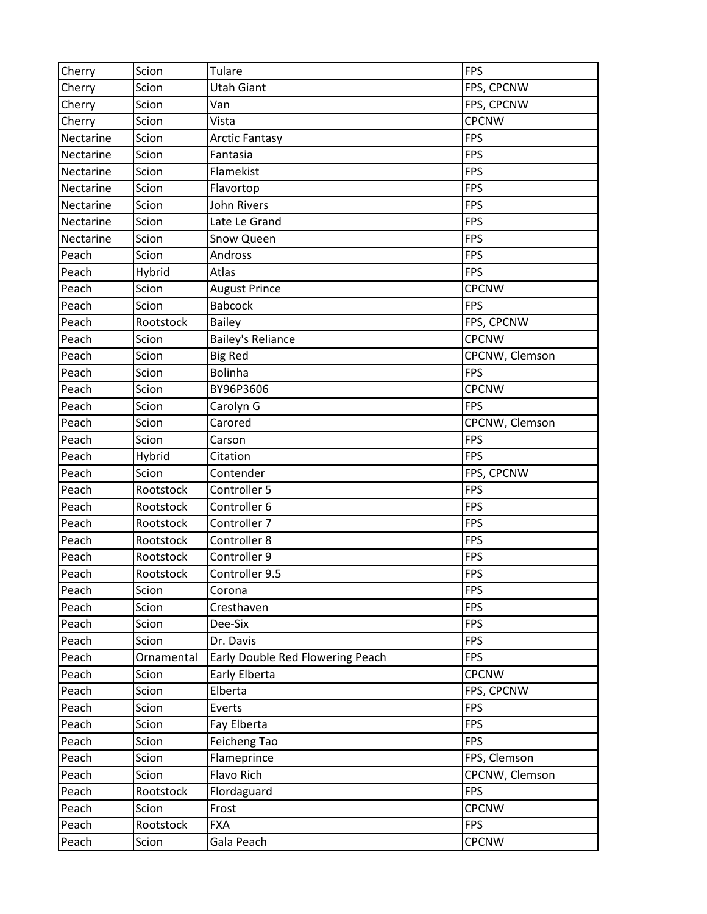| Cherry    | Scion      | <b>Tulare</b>                    | <b>FPS</b>     |
|-----------|------------|----------------------------------|----------------|
| Cherry    | Scion      | Utah Giant                       | FPS, CPCNW     |
| Cherry    | Scion      | Van                              | FPS, CPCNW     |
| Cherry    | Scion      | Vista                            | <b>CPCNW</b>   |
| Nectarine | Scion      | <b>Arctic Fantasy</b>            | <b>FPS</b>     |
| Nectarine | Scion      | Fantasia                         | <b>FPS</b>     |
| Nectarine | Scion      | Flamekist                        | <b>FPS</b>     |
| Nectarine | Scion      | Flavortop                        | <b>FPS</b>     |
| Nectarine | Scion      | <b>John Rivers</b>               | <b>FPS</b>     |
| Nectarine | Scion      | Late Le Grand                    | <b>FPS</b>     |
| Nectarine | Scion      | Snow Queen                       | <b>FPS</b>     |
| Peach     | Scion      | Andross                          | <b>FPS</b>     |
| Peach     | Hybrid     | Atlas                            | <b>FPS</b>     |
| Peach     | Scion      | <b>August Prince</b>             | <b>CPCNW</b>   |
| Peach     | Scion      | <b>Babcock</b>                   | <b>FPS</b>     |
| Peach     | Rootstock  | <b>Bailey</b>                    | FPS, CPCNW     |
| Peach     | Scion      | <b>Bailey's Reliance</b>         | <b>CPCNW</b>   |
| Peach     | Scion      | <b>Big Red</b>                   | CPCNW, Clemson |
| Peach     | Scion      | <b>Bolinha</b>                   | <b>FPS</b>     |
| Peach     | Scion      | BY96P3606                        | <b>CPCNW</b>   |
| Peach     | Scion      | Carolyn G                        | <b>FPS</b>     |
| Peach     | Scion      | Carored                          | CPCNW, Clemson |
| Peach     | Scion      | Carson                           | <b>FPS</b>     |
| Peach     | Hybrid     | Citation                         | <b>FPS</b>     |
| Peach     | Scion      | Contender                        | FPS, CPCNW     |
| Peach     | Rootstock  | Controller 5                     | <b>FPS</b>     |
| Peach     | Rootstock  | Controller 6                     | <b>FPS</b>     |
| Peach     | Rootstock  | Controller 7                     | <b>FPS</b>     |
| Peach     | Rootstock  | Controller 8                     | <b>FPS</b>     |
| Peach     | Rootstock  | Controller 9                     | <b>FPS</b>     |
| Peach     | Rootstock  | Controller 9.5                   | <b>FPS</b>     |
| Peach     | Scion      | Corona                           | <b>FPS</b>     |
| Peach     | Scion      | Cresthaven                       | <b>FPS</b>     |
| Peach     | Scion      | Dee-Six                          | <b>FPS</b>     |
| Peach     | Scion      | Dr. Davis                        | <b>FPS</b>     |
| Peach     | Ornamental | Early Double Red Flowering Peach | <b>FPS</b>     |
| Peach     | Scion      | Early Elberta                    | <b>CPCNW</b>   |
| Peach     | Scion      | Elberta                          | FPS, CPCNW     |
| Peach     | Scion      | Everts                           | <b>FPS</b>     |
| Peach     | Scion      | Fay Elberta                      | <b>FPS</b>     |
| Peach     | Scion      | Feicheng Tao                     | <b>FPS</b>     |
| Peach     | Scion      | Flameprince                      | FPS, Clemson   |
| Peach     | Scion      | Flavo Rich                       | CPCNW, Clemson |
| Peach     | Rootstock  | Flordaguard                      | <b>FPS</b>     |
| Peach     | Scion      | Frost                            | <b>CPCNW</b>   |
| Peach     | Rootstock  | <b>FXA</b>                       | <b>FPS</b>     |
| Peach     | Scion      | Gala Peach                       | <b>CPCNW</b>   |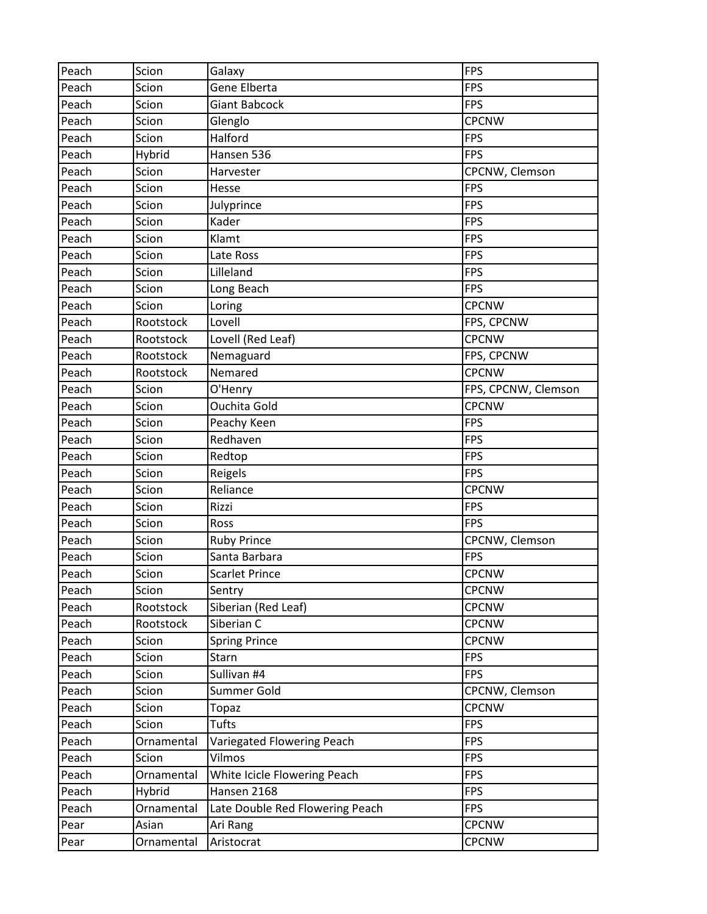| Peach | Scion      | Galaxy                          | <b>FPS</b>          |
|-------|------------|---------------------------------|---------------------|
| Peach | Scion      | Gene Elberta                    | <b>FPS</b>          |
| Peach | Scion      | Giant Babcock                   | <b>FPS</b>          |
| Peach | Scion      | Glenglo                         | <b>CPCNW</b>        |
| Peach | Scion      | Halford                         | <b>FPS</b>          |
| Peach | Hybrid     | Hansen 536                      | <b>FPS</b>          |
| Peach | Scion      | Harvester                       | CPCNW, Clemson      |
| Peach | Scion      | Hesse                           | <b>FPS</b>          |
| Peach | Scion      | Julyprince                      | <b>FPS</b>          |
| Peach | Scion      | Kader                           | <b>FPS</b>          |
| Peach | Scion      | Klamt                           | <b>FPS</b>          |
| Peach | Scion      | Late Ross                       | <b>FPS</b>          |
| Peach | Scion      | Lilleland                       | <b>FPS</b>          |
| Peach | Scion      | Long Beach                      | <b>FPS</b>          |
| Peach | Scion      | Loring                          | <b>CPCNW</b>        |
| Peach | Rootstock  | Lovell                          | FPS, CPCNW          |
| Peach | Rootstock  | Lovell (Red Leaf)               | <b>CPCNW</b>        |
| Peach | Rootstock  | Nemaguard                       | FPS, CPCNW          |
| Peach | Rootstock  | Nemared                         | <b>CPCNW</b>        |
| Peach | Scion      | O'Henry                         | FPS, CPCNW, Clemson |
| Peach | Scion      | <b>Ouchita Gold</b>             | <b>CPCNW</b>        |
| Peach | Scion      | Peachy Keen                     | <b>FPS</b>          |
| Peach | Scion      | Redhaven                        | <b>FPS</b>          |
| Peach | Scion      | Redtop                          | <b>FPS</b>          |
| Peach | Scion      | Reigels                         | <b>FPS</b>          |
| Peach | Scion      | Reliance                        | <b>CPCNW</b>        |
| Peach | Scion      | Rizzi                           | <b>FPS</b>          |
| Peach | Scion      | Ross                            | <b>FPS</b>          |
| Peach | Scion      | <b>Ruby Prince</b>              | CPCNW, Clemson      |
| Peach | Scion      | Santa Barbara                   | <b>FPS</b>          |
| Peach | Scion      | <b>Scarlet Prince</b>           | <b>CPCNW</b>        |
| Peach | Scion      | Sentry                          | <b>CPCNW</b>        |
| Peach | Rootstock  | Siberian (Red Leaf)             | CPCNW               |
| Peach | Rootstock  | Siberian C                      | <b>CPCNW</b>        |
| Peach | Scion      | <b>Spring Prince</b>            | <b>CPCNW</b>        |
| Peach | Scion      | Starn                           | <b>FPS</b>          |
| Peach | Scion      | Sullivan #4                     | <b>FPS</b>          |
| Peach | Scion      | Summer Gold                     | CPCNW, Clemson      |
| Peach | Scion      | Topaz                           | <b>CPCNW</b>        |
| Peach | Scion      | Tufts                           | <b>FPS</b>          |
| Peach | Ornamental | Variegated Flowering Peach      | <b>FPS</b>          |
| Peach | Scion      | Vilmos                          | <b>FPS</b>          |
| Peach | Ornamental | White Icicle Flowering Peach    | <b>FPS</b>          |
| Peach | Hybrid     | Hansen 2168                     | <b>FPS</b>          |
| Peach | Ornamental | Late Double Red Flowering Peach | <b>FPS</b>          |
| Pear  | Asian      | Ari Rang                        | <b>CPCNW</b>        |
| Pear  | Ornamental | Aristocrat                      | <b>CPCNW</b>        |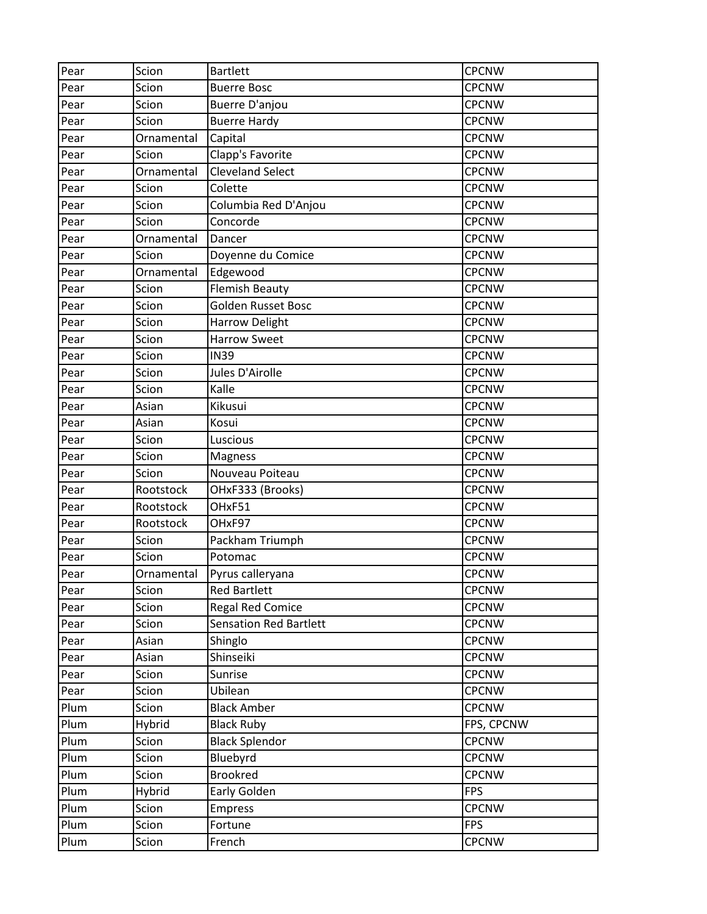| Pear | Scion      | <b>Bartlett</b>               | <b>CPCNW</b> |
|------|------------|-------------------------------|--------------|
| Pear | Scion      | <b>Buerre Bosc</b>            | <b>CPCNW</b> |
| Pear | Scion      | <b>Buerre D'anjou</b>         | <b>CPCNW</b> |
| Pear | Scion      | <b>Buerre Hardy</b>           | <b>CPCNW</b> |
| Pear | Ornamental | Capital                       | <b>CPCNW</b> |
| Pear | Scion      | Clapp's Favorite              | <b>CPCNW</b> |
| Pear | Ornamental | <b>Cleveland Select</b>       | <b>CPCNW</b> |
| Pear | Scion      | Colette                       | <b>CPCNW</b> |
| Pear | Scion      | Columbia Red D'Anjou          | <b>CPCNW</b> |
| Pear | Scion      | Concorde                      | <b>CPCNW</b> |
| Pear | Ornamental | Dancer                        | <b>CPCNW</b> |
| Pear | Scion      | Doyenne du Comice             | <b>CPCNW</b> |
| Pear | Ornamental | Edgewood                      | <b>CPCNW</b> |
| Pear | Scion      | Flemish Beauty                | <b>CPCNW</b> |
| Pear | Scion      | Golden Russet Bosc            | <b>CPCNW</b> |
| Pear | Scion      | Harrow Delight                | <b>CPCNW</b> |
| Pear | Scion      | <b>Harrow Sweet</b>           | <b>CPCNW</b> |
| Pear | Scion      | <b>IN39</b>                   | <b>CPCNW</b> |
| Pear | Scion      | Jules D'Airolle               | <b>CPCNW</b> |
| Pear | Scion      | Kalle                         | <b>CPCNW</b> |
| Pear | Asian      | Kikusui                       | <b>CPCNW</b> |
| Pear | Asian      | Kosui                         | <b>CPCNW</b> |
| Pear | Scion      | Luscious                      | <b>CPCNW</b> |
| Pear | Scion      | Magness                       | <b>CPCNW</b> |
| Pear | Scion      | Nouveau Poiteau               | <b>CPCNW</b> |
| Pear | Rootstock  | OHxF333 (Brooks)              | <b>CPCNW</b> |
| Pear | Rootstock  | OHxF51                        | <b>CPCNW</b> |
| Pear | Rootstock  | OHxF97                        | <b>CPCNW</b> |
| Pear | Scion      | Packham Triumph               | <b>CPCNW</b> |
| Pear | Scion      | Potomac                       | <b>CPCNW</b> |
| Pear | Ornamental | Pyrus calleryana              | <b>CPCNW</b> |
| Pear | Scion      | <b>Red Bartlett</b>           | <b>CPCNW</b> |
| Pear | Scion      | <b>Regal Red Comice</b>       | CPCNW        |
| Pear | Scion      | <b>Sensation Red Bartlett</b> | <b>CPCNW</b> |
| Pear | Asian      | Shinglo                       | <b>CPCNW</b> |
| Pear | Asian      | Shinseiki                     | <b>CPCNW</b> |
| Pear | Scion      | Sunrise                       | <b>CPCNW</b> |
| Pear | Scion      | Ubilean                       | <b>CPCNW</b> |
| Plum | Scion      | <b>Black Amber</b>            | <b>CPCNW</b> |
| Plum | Hybrid     | <b>Black Ruby</b>             | FPS, CPCNW   |
| Plum | Scion      | <b>Black Splendor</b>         | <b>CPCNW</b> |
| Plum | Scion      | Bluebyrd                      | <b>CPCNW</b> |
| Plum | Scion      | <b>Brookred</b>               | <b>CPCNW</b> |
| Plum | Hybrid     | Early Golden                  | <b>FPS</b>   |
| Plum | Scion      | <b>Empress</b>                | <b>CPCNW</b> |
| Plum | Scion      | Fortune                       | <b>FPS</b>   |
| Plum | Scion      | French                        | <b>CPCNW</b> |